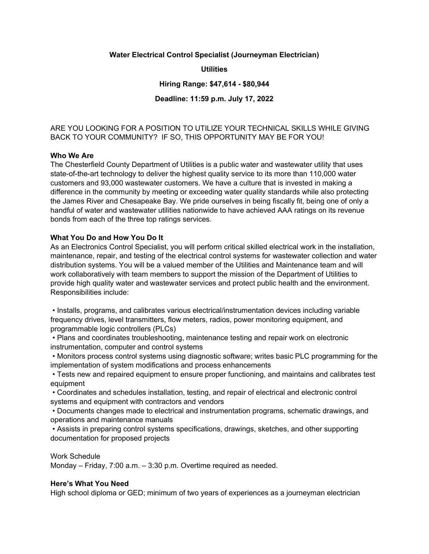#### Water Electrical Control Specialist (Journeyman Electrician)

**Utilities** 

Hiring Range: \$47,614 - \$80,944

## Deadline: 11:59 p.m. July 17, 2022

# ARE YOU LOOKING FOR A POSITION TO UTILIZE YOUR TECHNICAL SKILLS WHILE GIVING BACK TO YOUR COMMUNITY? IF SO, THIS OPPORTUNITY MAY BE FOR YOU!

### Who We Are

The Chesterfield County Department of Utilities is a public water and wastewater utility that uses state-of-the-art technology to deliver the highest quality service to its more than 110,000 water customers and 93,000 wastewater customers. We have a culture that is invested in making a difference in the community by meeting or exceeding water quality standards while also protecting the James River and Chesapeake Bay. We pride ourselves in being fiscally fit, being one of only a handful of water and wastewater utilities nationwide to have achieved AAA ratings on its revenue bonds from each of the three top ratings services.

### What You Do and How You Do It

As an Electronics Control Specialist, you will perform critical skilled electrical work in the installation, maintenance, repair, and testing of the electrical control systems for wastewater collection and water distribution systems. You will be a valued member of the Utilities and Maintenance team and will work collaboratively with team members to support the mission of the Department of Utilities to provide high quality water and wastewater services and protect public health and the environment. Responsibilities include:

 • Installs, programs, and calibrates various electrical/instrumentation devices including variable frequency drives, level transmitters, flow meters, radios, power monitoring equipment, and programmable logic controllers (PLCs)

 • Plans and coordinates troubleshooting, maintenance testing and repair work on electronic instrumentation, computer and control systems

 • Monitors process control systems using diagnostic software; writes basic PLC programming for the implementation of system modifications and process enhancements

 • Tests new and repaired equipment to ensure proper functioning, and maintains and calibrates test equipment

 • Coordinates and schedules installation, testing, and repair of electrical and electronic control systems and equipment with contractors and vendors

 • Documents changes made to electrical and instrumentation programs, schematic drawings, and operations and maintenance manuals

 • Assists in preparing control systems specifications, drawings, sketches, and other supporting documentation for proposed projects

Work Schedule

Monday – Friday, 7:00 a.m. – 3:30 p.m. Overtime required as needed.

#### Here's What You Need

High school diploma or GED; minimum of two years of experiences as a journeyman electrician